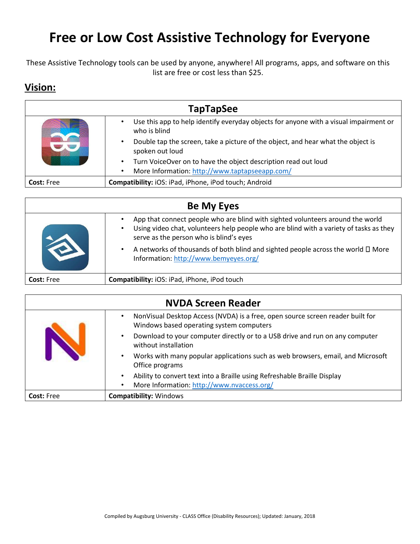## **Free or Low Cost Assistive Technology for Everyone**

These Assistive Technology tools can be used by anyone, anywhere! All programs, apps, and software on this list are free or cost less than \$25.

## **Vision:**

| <b>TapTapSee</b>  |                                                                                                                  |
|-------------------|------------------------------------------------------------------------------------------------------------------|
|                   | Use this app to help identify everyday objects for anyone with a visual impairment or<br>٠<br>who is blind       |
|                   | Double tap the screen, take a picture of the object, and hear what the object is<br>$\bullet$<br>spoken out loud |
|                   | Turn VoiceOver on to have the object description read out loud<br>$\bullet$                                      |
|                   | More Information: http://www.taptapseeapp.com/<br>$\bullet$                                                      |
| <b>Cost: Free</b> | Compatibility: iOS: iPad, iPhone, iPod touch; Android                                                            |

| <b>Be My Eyes</b> |                                                                                                                                                                                                                                  |
|-------------------|----------------------------------------------------------------------------------------------------------------------------------------------------------------------------------------------------------------------------------|
|                   | App that connect people who are blind with sighted volunteers around the world<br>Using video chat, volunteers help people who are blind with a variety of tasks as they<br>$\bullet$<br>serve as the person who is blind's eyes |
|                   | A networks of thousands of both blind and sighted people across the world $\square$ More<br>$\bullet$<br>Information: http://www.bemyeyes.org/                                                                                   |
| <b>Cost: Free</b> | Compatibility: iOS: iPad, iPhone, iPod touch                                                                                                                                                                                     |

| <b>NVDA Screen Reader</b> |                                                                                                                                                  |
|---------------------------|--------------------------------------------------------------------------------------------------------------------------------------------------|
|                           | NonVisual Desktop Access (NVDA) is a free, open source screen reader built for<br>$\bullet$<br>Windows based operating system computers          |
|                           | Download to your computer directly or to a USB drive and run on any computer<br>$\bullet$<br>without installation                                |
|                           | Works with many popular applications such as web browsers, email, and Microsoft<br>$\bullet$<br>Office programs                                  |
|                           | Ability to convert text into a Braille using Refreshable Braille Display<br>$\bullet$<br>More Information: http://www.nvaccess.org/<br>$\bullet$ |
| Cost: Free                | <b>Compatibility: Windows</b>                                                                                                                    |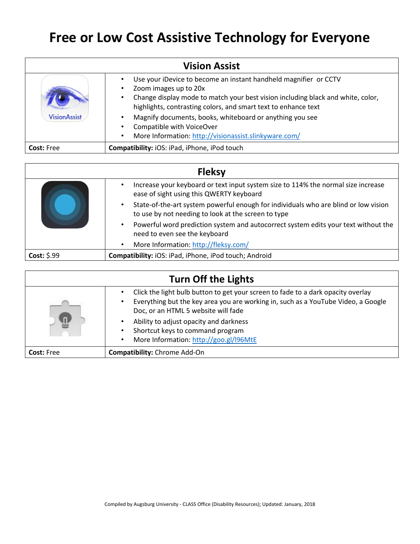## **Free or Low Cost Assistive Technology for Everyone**

| <b>Vision Assist</b> |                                                                                                                                                                                                                                                |
|----------------------|------------------------------------------------------------------------------------------------------------------------------------------------------------------------------------------------------------------------------------------------|
|                      | Use your iDevice to become an instant handheld magnifier or CCTV<br>Zoom images up to 20x<br>Change display mode to match your best vision including black and white, color,<br>highlights, contrasting colors, and smart text to enhance text |
| <b>VisionAssist</b>  | Magnify documents, books, whiteboard or anything you see<br>Compatible with VoiceOver<br>More Information: http://visionassist.slinkyware.com/                                                                                                 |
| <b>Cost: Free</b>    | Compatibility: iOS: iPad, iPhone, iPod touch                                                                                                                                                                                                   |

| <b>Fleksy</b> |                                                                                                                                                         |
|---------------|---------------------------------------------------------------------------------------------------------------------------------------------------------|
|               | Increase your keyboard or text input system size to 114% the normal size increase<br>$\bullet$<br>ease of sight using this QWERTY keyboard              |
|               | State-of-the-art system powerful enough for individuals who are blind or low vision<br>$\bullet$<br>to use by not needing to look at the screen to type |
|               | Powerful word prediction system and autocorrect system edits your text without the<br>$\bullet$<br>need to even see the keyboard                        |
|               | More Information: http://fleksy.com/<br>$\bullet$                                                                                                       |
| Cost: $$.99$  | Compatibility: iOS: iPad, iPhone, iPod touch; Android                                                                                                   |

| <b>Turn Off the Lights</b> |                                                                                                                                                                                                              |
|----------------------------|--------------------------------------------------------------------------------------------------------------------------------------------------------------------------------------------------------------|
|                            | Click the light bulb button to get your screen to fade to a dark opacity overlay<br>Everything but the key area you are working in, such as a YouTube Video, a Google<br>Doc, or an HTML 5 website will fade |
|                            | Ability to adjust opacity and darkness<br>Shortcut keys to command program<br>More Information: http://goo.gl/l96MtE                                                                                         |
| <b>Cost:</b> Free          | <b>Compatibility:</b> Chrome Add-On                                                                                                                                                                          |